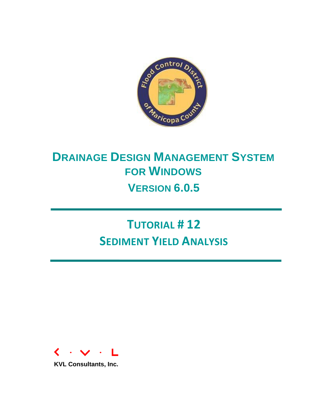

# **DRAINAGE DESIGN MANAGEMENT SYSTEM FOR WINDOWS VERSION 6.0.5**

# **TUTORIAL # 12 SEDIMENT YIELD ANALYSIS**



**KVL Consultants, Inc.**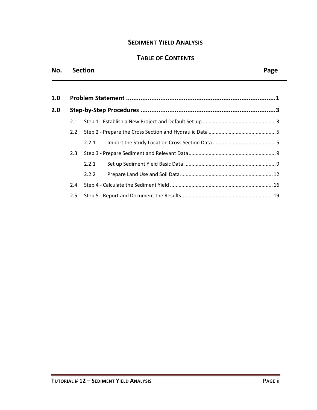# **SEDIMENT YIELD ANALYSIS**

# **TABLE OF CONTENTS**

#### **No. Section Page**

| 1.0 |     |       |  |
|-----|-----|-------|--|
| 2.0 |     |       |  |
|     | 2.1 |       |  |
|     | 2.2 |       |  |
|     |     | 2.2.1 |  |
|     | 2.3 |       |  |
|     |     | 2.2.1 |  |
|     |     | 2.2.2 |  |
|     | 2.4 |       |  |
|     | 2.5 |       |  |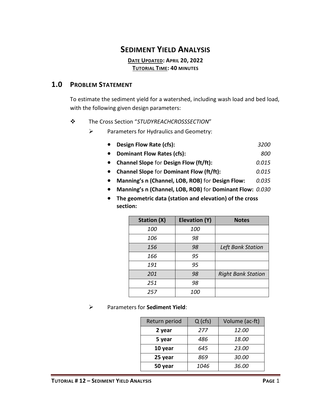# **SEDIMENT YIELD ANALYSIS**

**DATE UPDATED: APRIL 20, 2022 TUTORIAL TIME: 40 MINUTES**

#### <span id="page-2-0"></span>**1.0 PROBLEM STATEMENT**

To estimate the sediment yield for a watershed, including wash load and bed load, with the following given design parameters:

- ❖ The Cross Section "*STUDYREACHCROSSSECTION*"
	- ➢ Parameters for Hydraulics and Geometry:
		- **Design Flow Rate (cfs):** *3200*
		- **Dominant Flow Rates (cfs):** *800*
		- **Channel Slope** for **Design Flow (ft/ft):** *0.015*
		- **Channel Slope** for **Dominant Flow (ft/ft):** *0.015*
		- **Manning's n (Channel, LOB, ROB)** for **Design Flow:** *0.035*
		- **Manning's n (Channel, LOB, ROB)** for **Dominant Flow:** *0.030*
		- **The geometric data (station and elevation) of the cross section:**

| <b>Station (X)</b> | <b>Elevation (Y)</b> | <b>Notes</b>              |
|--------------------|----------------------|---------------------------|
| 100                | 100                  |                           |
| 106                | 98                   |                           |
| 156                | 98                   | Left Bank Station         |
| 166                | 95                   |                           |
| 191                | 95                   |                           |
| 201                | 98                   | <b>Right Bank Station</b> |
| 251                | 98                   |                           |
| 257                | <i>100</i>           |                           |

➢ Parameters for **Sediment Yield**:

| Return period | $Q$ (cfs) | Volume (ac-ft) |
|---------------|-----------|----------------|
| 2 year        | 277       | 12.00          |
| 5 year        | 486       | 18.00          |
| 10 year       | 645       | 23.00          |
| 25 year       | 869       | 30.00          |
| 50 year       | 1046      | 36.00          |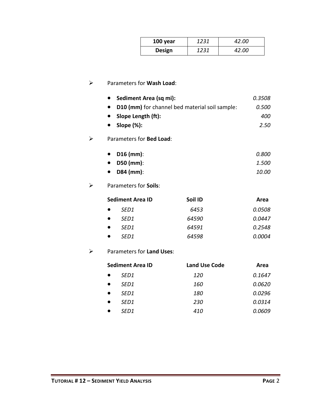| 100 year      | 1231 | <i>42.00</i> |
|---------------|------|--------------|
| <b>Design</b> | 1231 | <i>42.00</i> |

#### ➢ Parameters for **Wash Load**:

| Sediment Area (sq mi):                         | 0.3508 |
|------------------------------------------------|--------|
| D10 (mm) for channel bed material soil sample: | 0.500  |
| Slope Length (ft):                             | 400    |
| Slope $(\%)$ :                                 | 2.50   |

#### ➢ Parameters for **Bed Load**:

| • $D16$ (mm):       | 0.800        |
|---------------------|--------------|
| $\bullet$ D50 (mm): | 1.500        |
| $\bullet$ D84 (mm): | <i>10.00</i> |

### ➢ Parameters for **Soils**:

| <b>Sediment Area ID</b> | Soil ID | Area          |
|-------------------------|---------|---------------|
| SED1                    | 6453    | <i>0.0508</i> |
| SED <sub>1</sub>        | 64590   | 0.0447        |
| SED <sub>1</sub>        | 64591   | 0.2548        |
| SED1                    | 64598   | <i>0.0004</i> |

### ➢ Parameters for **Land Uses**:

| <b>Sediment Area ID</b> |                  | <b>Land Use Code</b> | Area   |  |
|-------------------------|------------------|----------------------|--------|--|
|                         | SED1             | <i>120</i>           | 0.1647 |  |
|                         | SED <sub>1</sub> | 160                  | 0.0620 |  |
|                         | SED <sub>1</sub> | <i>180</i>           | 0.0296 |  |
|                         | SED1             | 230                  | 0.0314 |  |
|                         | SED1             | 410                  | 0.0609 |  |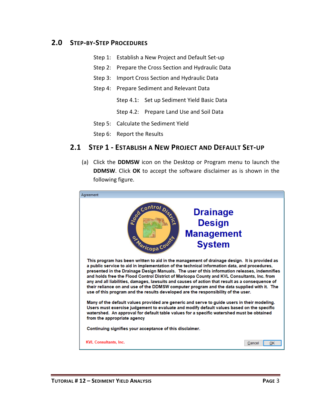#### <span id="page-4-0"></span>**2.0 STEP-BY-STEP PROCEDURES**

- Step 1: Establish a New Project and Default Set-up
- Step 2: Prepare the Cross Section and Hydraulic Data
- Step 3: Import Cross Section and Hydraulic Data
- Step 4: Prepare Sediment and Relevant Data
	- Step 4.1: Set up Sediment Yield Basic Data
	- Step 4.2: Prepare Land Use and Soil Data
- Step 5: Calculate the Sediment Yield
- Step 6: Report the Results

#### <span id="page-4-1"></span>**2.1 STEP 1 - ESTABLISH A NEW PROJECT AND DEFAULT SET-UP**

(a) Click the **DDMSW** icon on the Desktop or Program menu to launch the **DDMSW**. Click **OK** to accept the software disclaimer as is shown in the following figure.

| Agreement                                                                                                                                                                                                                                                                                                                                                                                                                                                                                                                                                                                                                                                                         |                                                                        |  |  |  |
|-----------------------------------------------------------------------------------------------------------------------------------------------------------------------------------------------------------------------------------------------------------------------------------------------------------------------------------------------------------------------------------------------------------------------------------------------------------------------------------------------------------------------------------------------------------------------------------------------------------------------------------------------------------------------------------|------------------------------------------------------------------------|--|--|--|
| Control Dist<br>ormaricopa Cou                                                                                                                                                                                                                                                                                                                                                                                                                                                                                                                                                                                                                                                    | <b>Drainage</b><br><b>Design</b><br><b>Management</b><br><b>System</b> |  |  |  |
| This program has been written to aid in the management of drainage design. It is provided as<br>a public service to aid in implementation of the technical information data, and procedures,<br>presented in the Drainage Design Manuals. The user of this information releases, indemnifies<br>and holds free the Flood Control District of Maricopa County and KVL Consultants, Inc. from<br>any and all liabilities, damages, lawsuits and causes of action that result as a consequence of<br>their reliance on and use of the DDMSW computer program and the data supplied with it. The<br>use of this program and the results developed are the responsibility of the user. |                                                                        |  |  |  |
| Many of the default values provided are generic and serve to guide users in their modeling.<br>Users must exercise judgement to evaluate and modify default values based on the specific<br>watershed. An approval for default table values for a specific watershed must be obtained<br>from the appropriate agency                                                                                                                                                                                                                                                                                                                                                              |                                                                        |  |  |  |
| Continuing signifies your acceptance of this disclaimer.                                                                                                                                                                                                                                                                                                                                                                                                                                                                                                                                                                                                                          |                                                                        |  |  |  |
| <b>KVL Consultants, Inc.</b>                                                                                                                                                                                                                                                                                                                                                                                                                                                                                                                                                                                                                                                      | OK<br>Cancel                                                           |  |  |  |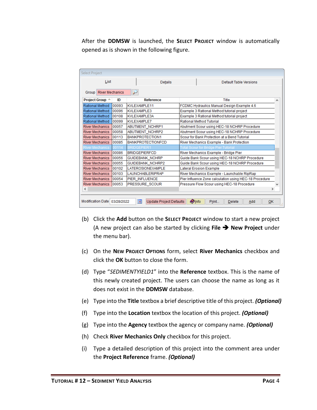After the **DDMSW** is launched, the **SELECT PROJECT** window is automatically opened as is shown in the following figure.

| <b>Select Project</b>                                                                                                                      |                                                                                          |                          |                                               |  |  |  |
|--------------------------------------------------------------------------------------------------------------------------------------------|------------------------------------------------------------------------------------------|--------------------------|-----------------------------------------------|--|--|--|
| List                                                                                                                                       |                                                                                          | Details                  | Default Table Versions                        |  |  |  |
| ₽<br><b>Group</b> River Mechanics                                                                                                          |                                                                                          |                          |                                               |  |  |  |
| <b>Project Group ▲</b>                                                                                                                     | ID                                                                                       | <b>Reference</b>         | Title<br>Л                                    |  |  |  |
| Rational Method                                                                                                                            | 00093                                                                                    | <b>KVLEXAMPLE11</b>      | FCDMC Hydraulics Manual Design Example 4.6    |  |  |  |
| Rational Method                                                                                                                            | 100096                                                                                   | KVLEXAMPLE3              | Example 3 Rational Method tutorial project    |  |  |  |
| Rational Method                                                                                                                            | 00108                                                                                    | KVLEXAMPLE3A             | Example 3 Rational Method tutorial project    |  |  |  |
| Rational Method                                                                                                                            | 100099                                                                                   | KVLEXAMPLE7              | <b>Rational Method Tutorial</b>               |  |  |  |
| <b>River Mechanics</b>                                                                                                                     | 00057                                                                                    | <b>ABUTMENT NCHRP1</b>   | Abutment Scour using HEC-18 NCHRP Procedure   |  |  |  |
| 00058<br><b>ABUTMENT NCHRP2</b><br><b>River Mechanics</b>                                                                                  |                                                                                          |                          | Abutment Scour using HEC-18 NCHRP Procedure   |  |  |  |
| 100113<br>BANKPROTECTION1<br><b>River Mechanics</b>                                                                                        |                                                                                          |                          | Scour for Bank Protection at a Bend Tutorial  |  |  |  |
| <b>River Mechanics</b>                                                                                                                     | 00085<br><b>BANKPROTECTIONFCD</b><br>River Mechanics Example - Bank Protection           |                          |                                               |  |  |  |
| <b>River Mechanics</b>                                                                                                                     | 00114<br><b>BRIDGEPIER1</b><br>Total Scour for Bridge Pier Tutorial                      |                          |                                               |  |  |  |
| <b>River Mechanics</b>                                                                                                                     | 100086<br><b>BRIDGEPIERFCD</b><br>River Mechanics Example - Bridge Pier                  |                          |                                               |  |  |  |
| 00056<br><b>River Mechanics</b><br>Guide Bank Scour using HEC-18 NCHRP Procedure<br><b>GUIDEBANK NCHRP</b>                                 |                                                                                          |                          |                                               |  |  |  |
| <b>River Mechanics</b>                                                                                                                     | 00055                                                                                    | GUIDEBANK_NCHRP2         | Guide Bank Scour using HEC-18 NCHRP Procedure |  |  |  |
| <b>River Mechanics</b>                                                                                                                     | 00102                                                                                    | <b>LATEROSIONEXAMPLE</b> | <b>Lateral Erosion Example</b>                |  |  |  |
| <b>River Mechanics</b>                                                                                                                     | 00103<br><b>LAUNCHABLERIPRAP</b><br>River Mechanics Example - Launchable RipRap          |                          |                                               |  |  |  |
| <b>River Mechanics</b>                                                                                                                     | 00054<br>Pier Influence Zone calculation using HEC-18 Procedure<br><b>PIER INFLUENCE</b> |                          |                                               |  |  |  |
| <b>River Mechanics</b>                                                                                                                     | 00053 <br>PRESSURE SCOUR<br>Pressure Flow Scour using HEC-18 Procedure<br>v              |                          |                                               |  |  |  |
| ≺                                                                                                                                          |                                                                                          |                          | $\rightarrow$                                 |  |  |  |
|                                                                                                                                            |                                                                                          |                          |                                               |  |  |  |
| $\overline{\phantom{a}}$<br>Modification Date 03/28/2022<br><b>Olnfo</b><br><b>Update Project Defaults</b><br>Print<br>Delete<br>OK<br>Add |                                                                                          |                          |                                               |  |  |  |

- (b) Click the **Add** button on the **SELECT PROJECT** window to start a new project (A new project can also be started by clicking **File** ➔ **New Project** under the menu bar).
- (c) On the **NEW PROJECT OPTIONS** form, select **River Mechanics** checkbox and click the **OK** button to close the form.
- (d) Type "*SEDIMENTYIELD1*" into the **Reference** textbox. This is the name of this newly created project. The users can choose the name as long as it does not exist in the **DDMSW** database.
- (e) Type into the **Title** textbox a brief descriptive title of this project. *(Optional)*
- (f) Type into the **Location** textbox the location of this project. *(Optional)*
- (g) Type into the **Agency** textbox the agency or company name. *(Optional)*
- (h) Check **River Mechanics Only** checkbox for this project.
- (i) Type a detailed description of this project into the comment area under the **Project Reference** frame. *(Optional)*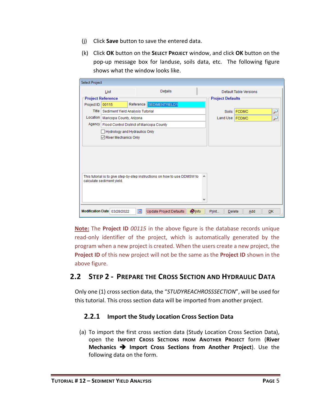- (j) Click **Save** button to save the entered data.
- (k) Click **OK** button on the **SELECT PROJECT** window, and click **OK** button on the pop-up message box for landuse, soils data, etc. The following figure shows what the window looks like.

| <b>Select Project</b> |                                  |                                                                           |               |                         |                               |    |
|-----------------------|----------------------------------|---------------------------------------------------------------------------|---------------|-------------------------|-------------------------------|----|
|                       | List                             | Details                                                                   |               |                         | <b>Default Table Versions</b> |    |
|                       | <b>Project Reference</b>         |                                                                           |               | <b>Project Defaults</b> |                               |    |
| Project ID            | 00115                            | Reference SEDIMENTYIELD1                                                  |               |                         |                               |    |
| Title                 | Sediment Yield Analysis Tutorial |                                                                           |               | <b>Soils</b>            | <b>FCDMC</b>                  | سن |
| Location              | Maricopa County, Arizona         |                                                                           |               | Land Use   FCDMC        |                               |    |
|                       |                                  | Agency   Flood Control District of Maricopa County                        |               |                         |                               |    |
|                       | Hydrology and Hydraulics Only    |                                                                           |               |                         |                               |    |
|                       | River Mechanics Only             |                                                                           |               |                         |                               |    |
|                       |                                  |                                                                           |               |                         |                               |    |
|                       |                                  |                                                                           |               |                         |                               |    |
|                       |                                  |                                                                           |               |                         |                               |    |
|                       |                                  |                                                                           |               |                         |                               |    |
|                       |                                  |                                                                           |               |                         |                               |    |
|                       | calculate sediment yield.        | This tutorial is to give step-by-step instructions on how to use DDMSW to | ∧             |                         |                               |    |
|                       |                                  |                                                                           |               |                         |                               |    |
|                       |                                  |                                                                           |               |                         |                               |    |
|                       |                                  |                                                                           |               |                         |                               |    |
|                       |                                  |                                                                           |               |                         |                               |    |
|                       | Modification Date 03/28/2022     | i.<br><b>Update Project Defaults</b>                                      | <b>O</b> Info | Print<br><b>Delete</b>  | Add                           | QK |

**Note:** The **Project ID** *00115* in the above figure is the database records unique read-only identifier of the project, which is automatically generated by the program when a new project is created. When the users create a new project, the **Project ID** of this new project will not be the same as the **Project ID** shown in the above figure.

# <span id="page-6-0"></span>**2.2 STEP 2 - PREPARE THE CROSS SECTION AND HYDRAULIC DATA**

<span id="page-6-1"></span>Only one (1) cross section data, the "*STUDYREACHROSSSECTION*", will be used for this tutorial. This cross section data will be imported from another project.

#### **2.2.1 Import the Study Location Cross Section Data**

(a) To import the first cross section data (Study Location Cross Section Data), open the **IMPORT CROSS SECTIONS FROM ANOTHER PROJECT** form (**River Mechanics** ➔ **Import Cross Sections from Another Project**). Use the following data on the form.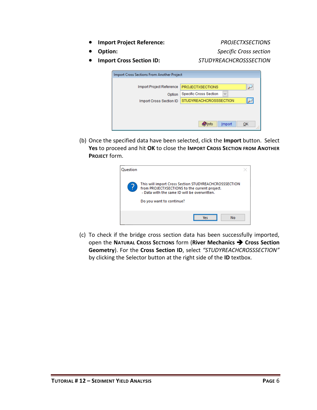- **Import Project Reference:** *PROJECTXSECTIONS*
	-

• **Option:** *Specific Cross section*

• **Import Cross Section ID:** *STUDYREACHCROSSSECTION*

| Import Cross Sections From Another Project    |                          |
|-----------------------------------------------|--------------------------|
| <b>PROJECTXSECTIONS</b>                       |                          |
| <b>Specific Cross Section</b><br>$\checkmark$ |                          |
| <b>STUDYREACHCROSSSECTION</b>                 | $\overline{\phantom{a}}$ |
|                                               |                          |
|                                               |                          |
| $\bullet$ Info<br>Import                      | QK                       |
|                                               |                          |

(b) Once the specified data have been selected, click the **Import** button. Select **Yes** to proceed and hit **OK** to close the **IMPORT CROSS SECTION FROM ANOTHER PROJECT** form.

| Ouestion |                                                                                                                                                                                    |  |
|----------|------------------------------------------------------------------------------------------------------------------------------------------------------------------------------------|--|
|          | This will import Cross Section STUDYREACHCROSSSECTION<br>from PROJECTXSECTIONS to the current project.<br>- Data with the same ID will be overwritten.<br>Do you want to continue? |  |
|          | No                                                                                                                                                                                 |  |

(c) To check if the bridge cross section data has been successfully imported, open the **NATURAL CROSS SECTIONS** form (**River Mechanics** ➔ **Cross Section Geometry**). For the **Cross Section ID**, select *"STUDYREACHCROSSSECTION"* by clicking the Selector button at the right side of the **ID** textbox.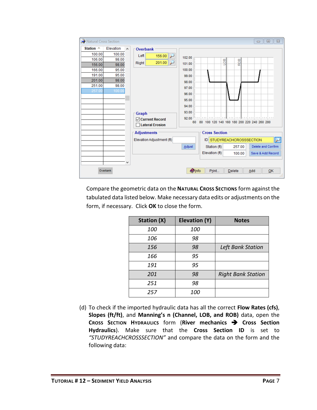| Natural Cross Section                                                                               |                                                                                     |              |                                                                                                                                                                         |                                                                                                    |                                |                                       | $\Sigma$<br>$\Box$<br>$\Box$                                                                                     |
|-----------------------------------------------------------------------------------------------------|-------------------------------------------------------------------------------------|--------------|-------------------------------------------------------------------------------------------------------------------------------------------------------------------------|----------------------------------------------------------------------------------------------------|--------------------------------|---------------------------------------|------------------------------------------------------------------------------------------------------------------|
| Station $\triangle$<br>100.00<br>106.00<br>156.00<br>166.00<br>191.00<br>201.00<br>251.00<br>257.00 | Elevation<br>100.00<br>98.00<br>98.00<br>95.00<br>95.00<br>98.00<br>98.00<br>100.00 | $\sim$       | <b>Overbank</b><br>Left<br>156.00<br>201.00<br>Right<br><b>Graph</b><br><b>○ Current Record</b><br>□ Lateral Erosion<br><b>Adjustments</b><br>Elevation Adjustment (ft) | 102.00<br>101.00<br>100.00<br>99.00<br>98.00<br>97.00<br>96.00<br>95.00<br>94.00<br>93.00<br>92.00 | <b>Cross Section</b>           | 8<br>ROB<br>ID STUDYREACHCROSSSECTION | Forbata bahada bahada bahada bahada<br>60 80 100 120 140 160 180 200 220 240 260 280<br>$\overline{\mathcal{P}}$ |
|                                                                                                     |                                                                                     | $\checkmark$ |                                                                                                                                                                         | Adjust                                                                                             | Station (ft)<br>Elevation (ft) | 257.00<br>100.00                      | Delete and Confirm<br>Save & Add Record                                                                          |
|                                                                                                     | Overbank                                                                            |              |                                                                                                                                                                         | <b>O</b> Info                                                                                      | Print                          | Delete                                | Add<br>QK<br>W                                                                                                   |

Compare the geometric data on the **NATURAL CROSS SECTIONS** form against the tabulated data listed below. Make necessary data edits or adjustments on the form, if necessary. Click **OK** to close the form.

| <b>Station (X)</b> | Elevation (Y) | <b>Notes</b>              |
|--------------------|---------------|---------------------------|
| 100                | 100           |                           |
| 106                | 98            |                           |
| 156                | 98            | Left Bank Station         |
| 166                | 95            |                           |
| 191                | 95            |                           |
| 201                | 98            | <b>Right Bank Station</b> |
| 251                | 98            |                           |
| 257                | 100           |                           |

(d) To check if the imported hydraulic data has all the correct **Flow Rates (cfs)**, **Slopes (ft/ft)**, and **Manning's n (Channel, LOB, and ROB)** data, open the **CROSS SECTION HYDRAULICS** form (**River mechanics** ➔ **Cross Section Hydraulics**). Make sure that the **Cross Section ID** is set to *"STUDYREACHCROSSSECTION"* and compare the data on the form and the following data: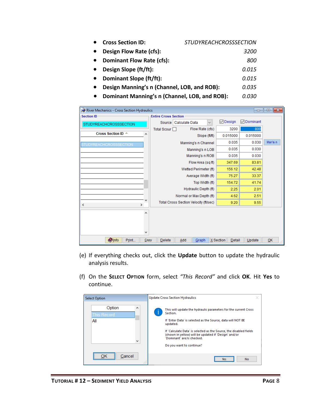| <b>Cross Section ID:</b>                      | <b>STUDYREACHCROSSSECTION</b> |
|-----------------------------------------------|-------------------------------|
| Design Flow Rate (cfs):                       | <i>3200</i>                   |
| <b>Dominant Flow Rate (cfs):</b>              | 800                           |
| Design Slope (ft/ft):                         | 0.015                         |
| Dominant Slope (ft/ft):                       | 0.015                         |
| Design Manning's n (Channel, LOB, and ROB):   | 0.035                         |
| Dominant Manning's n (Channel, LOB, and ROB): | 0.030                         |

| River Mechanics - Cross Section Hydraulics |        |                             |                                       |                       |              |                     | $\Box$ $\Box$     | $\ x\ $  |
|--------------------------------------------|--------|-----------------------------|---------------------------------------|-----------------------|--------------|---------------------|-------------------|----------|
| <b>Section ID</b>                          |        | <b>Entire Cross Section</b> |                                       |                       |              |                     |                   |          |
| <b>STUDYREACHCROSSSECTION</b>              |        |                             | Source   Calculate Data               |                       | $\checkmark$ | $\boxdot$ Design    | <b>▽</b> Dominant |          |
|                                            |        | Total Scour □               |                                       | Flow Rate (cfs)       |              | 3200                | 800               |          |
| Cross Section ID $\triangle$               | А      |                             |                                       | Slope (ft/ft)         |              | 0.015000            | 0.015000          |          |
| STUDYREACHCROSSSECTION                     |        |                             |                                       | Manning's n Channel   |              | 0.035               | 0.030             | Man's n  |
|                                            |        |                             |                                       | Manning's n LOB       |              | 0.035               | 0.030             |          |
|                                            |        |                             |                                       | Manning's n ROB       |              | 0.035               | 0.030             |          |
|                                            |        |                             |                                       | Flow Area (sq ft)     |              | 347.69              | 83.81             |          |
|                                            |        |                             |                                       | Wetted Perimeter (ft) |              | 156.12              | 42.48             |          |
|                                            |        |                             |                                       | Average Width (ft)    |              | 75.27               | 33.37             |          |
|                                            |        |                             |                                       | Top Width (ft)        |              | 154.72              | 41.74             |          |
|                                            |        |                             |                                       | Hydraulic Depth (ft)  |              | 2.25                | 2.01              |          |
|                                            |        |                             | Normal or Max Depth (ft)              |                       |              | 4.62                | 2.51              |          |
| $\rightarrow$<br>$\,<\,$                   |        |                             | Total Cross Section Velocity (ft/sec) |                       |              | 9.20                | 9.55              |          |
|                                            | ۸<br>٧ |                             |                                       |                       |              |                     |                   |          |
| <b>Olnfo</b><br>Print                      | Copy   | Delete                      | Add                                   | Graph                 |              | X Section<br>Detail | Update            | QK<br>Æ. |

- (e) If everything checks out, click the **Update** button to update the hydraulic analysis results.
- (f) On the **SELECT OPTION** form, select *"This Record"* and click **OK**. Hit **Yes** to continue.

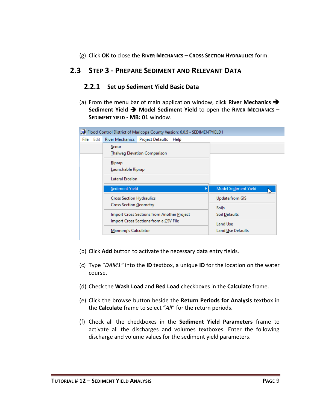(g) Click **OK** to close the **RIVER MECHANICS – CROSS SECTION HYDRAULICS** form.

# <span id="page-10-1"></span><span id="page-10-0"></span>**2.3 STEP 3 - PREPARE SEDIMENT AND RELEVANT DATA**

#### **2.2.1 Set up Sediment Yield Basic Data**

(a) From the menu bar of main application window, click **River Mechanics** ➔ **Sediment Yield** ➔ **Model Sediment Yield** to open the **RIVER MECHANICS – SEDIMENT YIELD - MB: 01** window.

|  |                  |                                                                                     | Flood Control District of Maricopa County Version: 6.0.5 - SEDIMENTYIELD1 |                 |
|--|------------------|-------------------------------------------------------------------------------------|---------------------------------------------------------------------------|-----------------|
|  | <b>File</b> Edit | <b>River Mechanics</b>                                                              | Project Defaults Help                                                     |                 |
|  |                  | Scour                                                                               | <b>Thalweg Elevation Comparison</b>                                       |                 |
|  |                  | Riprap<br>Launchable Riprap                                                         |                                                                           |                 |
|  |                  | Lateral Erosion<br>Sediment Yield                                                   | <b>Model Sediment Yield</b><br>Þ                                          |                 |
|  |                  | <b>Cross Section Hydraulics</b><br>Cross Section Geometry                           |                                                                           | Update from GIS |
|  |                  | Import Cross Sections from Another Project<br>Import Cross Sections from a CSV File | <b>Soils</b><br>Soil Defaults                                             |                 |
|  |                  |                                                                                     |                                                                           | Land Use        |

- (b) Click **Add** button to activate the necessary data entry fields.
- (c) Type "*DAM1"* into the **ID** textbox, a unique **ID** for the location on the water course.
- (d) Check the **Wash Load** and **Bed Load** checkboxes in the **Calculate** frame.
- (e) Click the browse button beside the **Return Periods for Analysis** textbox in the **Calculate** frame to select "*All*" for the return periods.
- (f) Check all the checkboxes in the **Sediment Yield Parameters** frame to activate all the discharges and volumes textboxes. Enter the following discharge and volume values for the sediment yield parameters.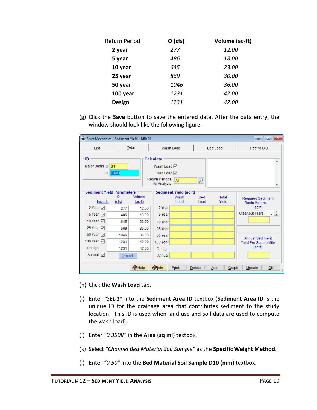| Return Period | $Q$ (cfs) | Volume (ac-ft) |
|---------------|-----------|----------------|
| 2 year        | 277       | 12.00          |
| 5 year        | 486       | <i>18.00</i>   |
| 10 year       | 645       | 23.00          |
| 25 year       | 869       | 30.00          |
| 50 year       | 1046      | 36.00          |
| 100 year      | 1231      | 42.00          |
| <b>Design</b> | 1231      | 42.00          |

(g) Click the **Save** button to save the entered data. After the data entry, the window should look like the following figure.

| River Mechanics - Sediment Yield - MB: 01   |                                     |                                        |                                                             |                |                                                 |                 | $\begin{array}{c c c c c c} \hline \multicolumn{3}{c }{\mathbf{C}} & \multicolumn{3}{c }{\mathbf{S}} & \multicolumn{3}{c }{\mathbf{S}} & \multicolumn{3}{c }{\mathbf{S}} & \multicolumn{3}{c }{\mathbf{S}} & \multicolumn{3}{c }{\mathbf{S}} & \multicolumn{3}{c }{\mathbf{S}} & \multicolumn{3}{c }{\mathbf{S}} & \multicolumn{3}{c }{\mathbf{S}} & \multicolumn{3}{c }{\mathbf{S}} & \multicolumn{3}{c }{\mathbf{S}} & \multicolumn{3}{c }{\mathbf$ |
|---------------------------------------------|-------------------------------------|----------------------------------------|-------------------------------------------------------------|----------------|-------------------------------------------------|-----------------|-------------------------------------------------------------------------------------------------------------------------------------------------------------------------------------------------------------------------------------------------------------------------------------------------------------------------------------------------------------------------------------------------------------------------------------------------------|
| List                                        |                                     | Total                                  |                                                             | Wash Load      |                                                 | <b>Bed Load</b> | Post to GIS                                                                                                                                                                                                                                                                                                                                                                                                                                           |
| ∙ ID.<br>Major Basin ID                     | Calculate<br>Wash Load <sup>√</sup> |                                        |                                                             |                | ۸                                               |                 |                                                                                                                                                                                                                                                                                                                                                                                                                                                       |
| 01<br>ID DAM1                               |                                     |                                        | Bed Load $\boxdot$<br><b>Return Periods</b><br>for Analysis | All            | ₽                                               |                 | v                                                                                                                                                                                                                                                                                                                                                                                                                                                     |
| <b>Sediment Yield Parameters</b><br>Include |                                     | Sediment Yield (ac-ft)<br>Wash<br>Load | <b>Bed</b><br>Load                                          | Total<br>Yield | <b>Required Sediment</b><br><b>Basin Volume</b> |                 |                                                                                                                                                                                                                                                                                                                                                                                                                                                       |
| 2 Year $\triangledown$                      | 277                                 | 12.00                                  | 2 Year                                                      |                |                                                 |                 | $(ac-fit)$                                                                                                                                                                                                                                                                                                                                                                                                                                            |
| 5 Year $\triangledown$                      | 486                                 | 18.00                                  | 5 Year                                                      |                |                                                 |                 | $3 \div$<br><b>Cleanout Years</b>                                                                                                                                                                                                                                                                                                                                                                                                                     |
| 10 Year $\sqrt{}$                           | 645                                 | 23.00                                  | 10 Year                                                     |                |                                                 |                 |                                                                                                                                                                                                                                                                                                                                                                                                                                                       |
| 25 Year $\sqrt{ }$                          | 569                                 | 30.00                                  | 25 Year                                                     |                |                                                 |                 |                                                                                                                                                                                                                                                                                                                                                                                                                                                       |
| 50 Year $\sqrt{ }$                          | 1046                                | 36.00                                  | 50 Year                                                     |                |                                                 |                 | Annual Sediment                                                                                                                                                                                                                                                                                                                                                                                                                                       |
| 100 Year [7]                                | 1231                                | 42.00                                  | 100 Year                                                    |                |                                                 |                 | Yield Per Square Mile                                                                                                                                                                                                                                                                                                                                                                                                                                 |
| Design                                      | 1231                                | 42.00                                  | Design                                                      |                |                                                 |                 | $(ac-fit)$                                                                                                                                                                                                                                                                                                                                                                                                                                            |
| Annual $\triangledown$                      | Import                              |                                        | Annual                                                      |                |                                                 |                 |                                                                                                                                                                                                                                                                                                                                                                                                                                                       |
|                                             |                                     | $\bullet$ Help                         | <b>Olnfo</b>                                                | Print          | Delete                                          | Add<br>Graph    | Update<br>OK                                                                                                                                                                                                                                                                                                                                                                                                                                          |

- (h) Click the **Wash Load** tab.
- (i) Enter *"SED1"* into the **Sediment Area ID** textbox (**Sediment Area ID** is the unique ID for the drainage area that contributes sediment to the study location. This ID is used when land use and soil data are used to compute the wash load).
- (j) Enter *"0.3508"* in the **Area (sq mi)** textbox.
- (k) Select *"Channel Bed Material Soil Sample"* as the **Specific Weight Method**.
- (l) Enter *"0.50"* into the **Bed Material Soil Sample D10 (mm)** textbox.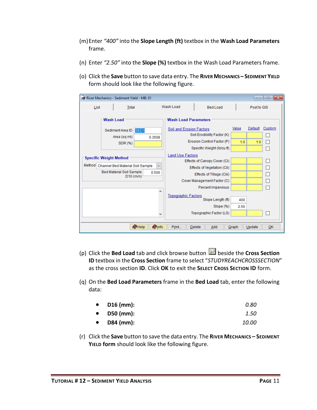- (m)Enter *"400"* into the **Slope Length (ft)** textbox in the **Wash Load Parameters** frame.
- (n) Enter *"2.50"* into the **Slope (%)** textbox in the Wash Load Parameters frame.
- (o) Click the **Save** button to save data entry. The **RIVER MECHANICS – SEDIMENT YIELD**  form should look like the following figure.

| $\begin{array}{c c c c c c} \hline \multicolumn{3}{c }{\mathbf{C}} & \multicolumn{3}{c }{\mathbf{C}} & \multicolumn{3}{c }{\mathbf{X}} \end{array}$<br>River Mechanics - Sediment Yield - MB: 01 |                                                                             |               |                                                                                                                                                                                                                                                                                                      |                                                           |              |                |             |  |  |
|--------------------------------------------------------------------------------------------------------------------------------------------------------------------------------------------------|-----------------------------------------------------------------------------|---------------|------------------------------------------------------------------------------------------------------------------------------------------------------------------------------------------------------------------------------------------------------------------------------------------------------|-----------------------------------------------------------|--------------|----------------|-------------|--|--|
| List                                                                                                                                                                                             | <b>Total</b>                                                                |               | Wash Load                                                                                                                                                                                                                                                                                            | <b>Bed Load</b>                                           |              | Post to GIS    |             |  |  |
|                                                                                                                                                                                                  | Wash Load<br>Sediment Area ID<br>SED <sub>1</sub><br>Area (sq mi)<br>0.3508 |               | <b>Wash Load Parameters</b><br>Soil and Erosion Factors                                                                                                                                                                                                                                              | Soil Erodibility Factor (K)<br>Erosion Control Factor (P) | Value<br>1.0 | Default<br>1.0 | Custom<br>П |  |  |
|                                                                                                                                                                                                  | SDR (%)                                                                     |               |                                                                                                                                                                                                                                                                                                      |                                                           |              |                |             |  |  |
| <b>Specific Weight Method</b><br>Method<br>Channel Bed Material Soil Sample<br>$\checkmark$<br><b>Bed Material Soil Sample</b><br>0.500<br>$D10$ (mm)<br>۸                                       |                                                                             |               | Specific Weight (Ib/cu ft)<br><b>Land Use Factors</b><br>Effects of Canopy Cover (Ci)<br>□<br>□<br>Effects of Vegetation (Cii)<br>П<br>Effects of Tillage (Ciii)<br>Cover Management Factor (C)<br>Percent Impervious<br><b>Topographic Factors</b><br>Slope Length (ft)<br>400<br>Slope (%)<br>2.50 |                                                           |              |                |             |  |  |
|                                                                                                                                                                                                  |                                                                             | v             |                                                                                                                                                                                                                                                                                                      | Topographic Factor (LS)                                   |              |                |             |  |  |
|                                                                                                                                                                                                  | $\bigcirc$ Help                                                             | <b>O</b> Info | Print                                                                                                                                                                                                                                                                                                | <b>Delete</b><br>Add                                      | Graph        | Update         | QK          |  |  |

- (p) Click the **Bed Load** tab and click browse button **D** beside the **Cross Section ID** textbox in the **Cross Section** frame to select "*STUDYREACHCROSSSECTION*" as the cross section **ID**. Click **OK** to exit the **SELECT CROSS SECTION ID** form.
- (q) On the **Bed Load Parameters** frame in the **Bed Load** tab, enter the following data:

| $\bullet$ | $D16$ (mm): | 0.80         |
|-----------|-------------|--------------|
| $\bullet$ | D50 (mm):   | 1.50         |
| $\bullet$ | D84 (mm):   | <i>10.00</i> |

(r) Click the **Save** button to save the data entry. The **RIVER MECHANICS – SEDIMENT YIELD form** should look like the following figure.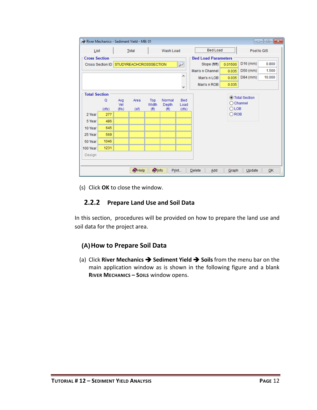| $\Box$ $\Box$ $\mathbf{x}$<br>River Mechanics - Sediment Yield - MB: 01 |                                                    |            |                               |                   |                   |                          |                 |                |                    |        |
|-------------------------------------------------------------------------|----------------------------------------------------|------------|-------------------------------|-------------------|-------------------|--------------------------|-----------------|----------------|--------------------|--------|
|                                                                         | Wash Load<br>List<br>Total                         |            |                               |                   | <b>Bed Load</b>   |                          |                 | Post to GIS    |                    |        |
|                                                                         | <b>Bed Load Parameters</b><br><b>Cross Section</b> |            |                               |                   |                   |                          |                 |                |                    |        |
|                                                                         | Cross Section ID                                   |            | <b>STUDYREACHCROSSSECTION</b> |                   |                   | $\overline{\phantom{a}}$ | Slope (ft/ft)   | 0.01500        | $D16$ (mm)         | 0.800  |
|                                                                         |                                                    |            |                               |                   |                   |                          | Man's n Channel | 0.035          | D50 (mm)           | 1.500  |
|                                                                         |                                                    |            |                               |                   |                   | ۸                        | Man's n LOB     | 0.035          | D84 (mm)           | 10.000 |
|                                                                         |                                                    |            |                               |                   |                   | ٧                        | Man's n ROB     | 0.035          |                    |        |
|                                                                         | <b>Total Section</b><br>◉ Total Section            |            |                               |                   |                   |                          |                 |                |                    |        |
|                                                                         | Q                                                  | Avg<br>Vel | Area                          | Top<br>Width      | Normal<br>Depth   | Bed<br>Load              |                 |                | $\bigcirc$ Channel |        |
|                                                                         | (cfs)                                              | (f/s)      | (sf)                          | (f <sup>t</sup> ) | (f <sup>t</sup> ) | (cfs)                    |                 | $O$ LOB        |                    |        |
| 2 Year                                                                  | 277                                                |            |                               |                   |                   |                          |                 | $\bigcirc$ ROB |                    |        |
| 5 Year                                                                  | 486                                                |            |                               |                   |                   |                          |                 |                |                    |        |
| 10 Year                                                                 | 645                                                |            |                               |                   |                   |                          |                 |                |                    |        |
| 25 Year                                                                 | 569                                                |            |                               |                   |                   |                          |                 |                |                    |        |
| 50 Year                                                                 | 1046                                               |            |                               |                   |                   |                          |                 |                |                    |        |
| 100 Year                                                                | 1231                                               |            |                               |                   |                   |                          |                 |                |                    |        |
| Design                                                                  |                                                    |            |                               |                   |                   |                          |                 |                |                    |        |
|                                                                         |                                                    |            |                               |                   |                   |                          |                 |                |                    |        |
|                                                                         |                                                    |            | $\bullet$ Help                | <b>O</b> Info     |                   | Print                    | Delete<br>Add   | Graph          | Update             | QK     |

(s) Click **OK** to close the window.

#### **2.2.2 Prepare Land Use and Soil Data**

<span id="page-13-0"></span>In this section, procedures will be provided on how to prepare the land use and soil data for the project area.

# **(A)How to Prepare Soil Data**

(a) Click **River Mechanics** ➔ **Sediment Yield** ➔ **Soils** from the menu bar on the main application window as is shown in the following figure and a blank **RIVER MECHANICS – SOILS** window opens.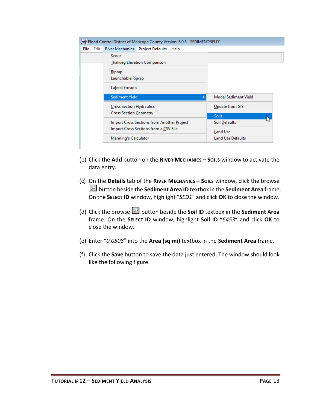|           |                                            |                                                           | Flood Control District of Maricopa County Version: 6.0.5 - SEDIMENTYIELD1 |                          |
|-----------|--------------------------------------------|-----------------------------------------------------------|---------------------------------------------------------------------------|--------------------------|
| File Edit |                                            | <b>River Mechanics</b>                                    | <b>Project Defaults</b><br>Help                                           |                          |
|           |                                            | Scour                                                     | <b>Thalweg Elevation Comparison</b>                                       |                          |
|           |                                            | Riprap<br>Launchable Riprap                               |                                                                           |                          |
|           |                                            | Lateral Erosion                                           |                                                                           |                          |
|           |                                            | <b>Sediment Yield</b>                                     |                                                                           | Model Sediment Yield     |
|           |                                            | <b>Cross Section Hydraulics</b><br>Cross Section Geometry |                                                                           | Update from GIS          |
|           |                                            |                                                           |                                                                           | <b>Soils</b>             |
|           | Import Cross Sections from Another Project |                                                           |                                                                           | Soil Defaults            |
|           |                                            |                                                           | Import Cross Sections from a CSV File                                     | Land Use                 |
|           |                                            | Manning's Calculator                                      |                                                                           | <b>Land Use Defaults</b> |
|           |                                            |                                                           |                                                                           |                          |

- (b) Click the **Add** button on the **RIVER MECHANICS – SOILS** window to activate the data entry.
- (c) On the **Details** tab of the **RIVER MECHANICS – SOILS** window, click the browse button beside the **Sediment Area ID** textbox in the **Sediment Area** frame. On the **SELECT ID** window, highlight "*SED1*" and click **OK** to close the window.
- (d) Click the browse button beside the **Soil ID** textbox in the **Sediment Area** frame. On the **SELECT ID** window, highlight **Soil ID** "*6453*" and click **OK** to close the window.
- (e) Enter "*0.0508*" into the **Area (sq mi)** textbox in the **Sediment Area** frame.
- (f) Click the **Save** button to save the data just entered. The window should look like the following figure.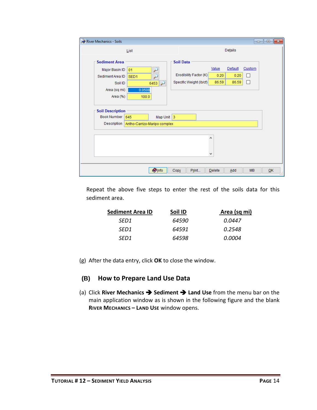| River Mechanics - Soils |                              |                  |                         |           |         |           | $\begin{array}{c c c c c c} \hline \multicolumn{3}{c }{\mathbf{C}} & \multicolumn{3}{c }{\mathbf{S}} & \multicolumn{3}{c }{\mathbf{S}} & \multicolumn{3}{c }{\mathbf{S}} & \multicolumn{3}{c }{\mathbf{S}} & \multicolumn{3}{c }{\mathbf{S}} & \multicolumn{3}{c }{\mathbf{S}} & \multicolumn{3}{c }{\mathbf{S}} & \multicolumn{3}{c }{\mathbf{S}} & \multicolumn{3}{c }{\mathbf{S}} & \multicolumn{3}{c }{\mathbf{S}} & \multicolumn{3}{c }{\mathbf$ |
|-------------------------|------------------------------|------------------|-------------------------|-----------|---------|-----------|-------------------------------------------------------------------------------------------------------------------------------------------------------------------------------------------------------------------------------------------------------------------------------------------------------------------------------------------------------------------------------------------------------------------------------------------------------|
|                         | List                         |                  |                         |           | Details |           |                                                                                                                                                                                                                                                                                                                                                                                                                                                       |
| <b>Sediment Area</b>    |                              | <b>Soil Data</b> |                         |           |         |           |                                                                                                                                                                                                                                                                                                                                                                                                                                                       |
| Major Basin ID          | 01<br>لىم                    |                  |                         | Value     | Default | Custom    |                                                                                                                                                                                                                                                                                                                                                                                                                                                       |
| Sediment Area ID        | ₽<br>SED <sub>1</sub>        |                  | Erodibility Factor (K)  | 0.20      | 0.20    | П         |                                                                                                                                                                                                                                                                                                                                                                                                                                                       |
| Soil ID                 | 6453                         |                  | Specific Weight (Ib/cf) | 86.59     | 86.59   | П         |                                                                                                                                                                                                                                                                                                                                                                                                                                                       |
| Area (sq mi)            | 0.0508                       |                  |                         |           |         |           |                                                                                                                                                                                                                                                                                                                                                                                                                                                       |
| Area (%)                | 100.0                        |                  |                         |           |         |           |                                                                                                                                                                                                                                                                                                                                                                                                                                                       |
|                         |                              |                  |                         |           |         |           |                                                                                                                                                                                                                                                                                                                                                                                                                                                       |
| <b>Soil Description</b> |                              |                  |                         |           |         |           |                                                                                                                                                                                                                                                                                                                                                                                                                                                       |
| <b>Book Number</b>      | 645<br>Map Unit 3            |                  |                         |           |         |           |                                                                                                                                                                                                                                                                                                                                                                                                                                                       |
| Description             | Antho-Carrizo-Maripo complex |                  |                         |           |         |           |                                                                                                                                                                                                                                                                                                                                                                                                                                                       |
|                         |                              |                  |                         |           |         |           |                                                                                                                                                                                                                                                                                                                                                                                                                                                       |
|                         |                              |                  |                         | ۸         |         |           |                                                                                                                                                                                                                                                                                                                                                                                                                                                       |
|                         |                              |                  |                         |           |         |           |                                                                                                                                                                                                                                                                                                                                                                                                                                                       |
|                         |                              |                  |                         | v         |         |           |                                                                                                                                                                                                                                                                                                                                                                                                                                                       |
|                         |                              |                  |                         |           |         |           |                                                                                                                                                                                                                                                                                                                                                                                                                                                       |
|                         |                              |                  |                         |           |         |           |                                                                                                                                                                                                                                                                                                                                                                                                                                                       |
|                         | <b>O</b> Info                | Copy             | Print                   | $D$ elete | Add     | <b>MB</b> | QK                                                                                                                                                                                                                                                                                                                                                                                                                                                    |

Repeat the above five steps to enter the rest of the soils data for this sediment area.

| <b>Sediment Area ID</b> | Soil ID | Area (sq mi) |
|-------------------------|---------|--------------|
| SED1                    | 64590   | 0.0447       |
| SED1                    | 64591   | 0.2548       |
| SED1                    | 64598   | 0.0004       |

(g) After the data entry, click **OK** to close the window.

#### **(B) How to Prepare Land Use Data**

(a) Click **River Mechanics** ➔ **Sediment** ➔ **Land Use** from the menu bar on the main application window as is shown in the following figure and the blank **RIVER MECHANICS – LAND USE** window opens.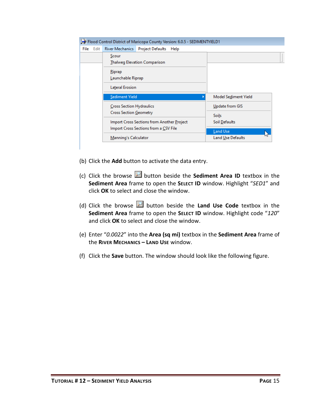|              | Flood Control District of Maricopa County Version: 6.0.5 - SEDIMENTYIELD1 |                        |
|--------------|---------------------------------------------------------------------------|------------------------|
| Edit<br>File | <b>River Mechanics</b><br><b>Project Defaults</b><br>Help                 |                        |
|              | Scour<br><b>Thalweg Elevation Comparison</b>                              |                        |
|              | Riprap<br>Launchable Riprap                                               |                        |
|              | Lateral Erosion                                                           |                        |
|              | <b>Sediment Yield</b>                                                     | Model Sediment Yield   |
|              | <b>Cross Section Hydraulics</b><br><b>Cross Section Geometry</b>          | <b>Update from GIS</b> |
|              | Import Cross Sections from Another Project                                | Soils<br>Soil Defaults |
|              | Import Cross Sections from a CSV File                                     | <b>Land Use</b>        |
|              | Manning's Calculator                                                      | Land Use Defaults      |

- (b) Click the **Add** button to activate the data entry.
- (c) Click the browse **button beside the Sediment Area ID** textbox in the **Sediment Area** frame to open the **SELECT ID** window. Highlight "*SED1*" and click **OK** to select and close the window.
- (d) Click the browse **button beside the Land Use Code** textbox in the **Sediment Area** frame to open the **SELECT ID** window. Highlight code "*120*" and click **OK** to select and close the window.
- (e) Enter "*0.0022*" into the **Area (sq mi)** textbox in the **Sediment Area** frame of the **RIVER MECHANICS – LAND USE** window.
- (f) Click the **Save** button. The window should look like the following figure.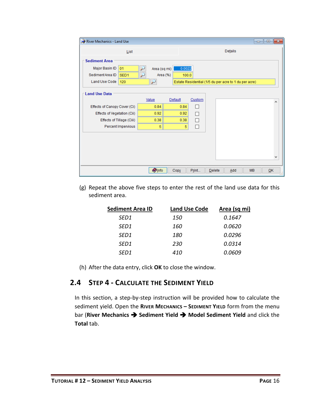| River Mechanics - Land Use           |                 |         |        |         |                                                       | $\begin{array}{c c c c c c} \hline \multicolumn{3}{c }{\mathbf{C}} & \multicolumn{3}{c }{\mathbf{S}} & \multicolumn{3}{c }{\mathbf{S}} & \multicolumn{3}{c }{\mathbf{S}} & \multicolumn{3}{c }{\mathbf{S}} & \multicolumn{3}{c }{\mathbf{S}} & \multicolumn{3}{c }{\mathbf{S}} & \multicolumn{3}{c }{\mathbf{S}} & \multicolumn{3}{c }{\mathbf{S}} & \multicolumn{3}{c }{\mathbf{S}} & \multicolumn{3}{c }{\mathbf{S}} & \multicolumn{3}{c }{\mathbf$ |
|--------------------------------------|-----------------|---------|--------|---------|-------------------------------------------------------|-------------------------------------------------------------------------------------------------------------------------------------------------------------------------------------------------------------------------------------------------------------------------------------------------------------------------------------------------------------------------------------------------------------------------------------------------------|
| List                                 |                 |         |        | Details |                                                       |                                                                                                                                                                                                                                                                                                                                                                                                                                                       |
| <b>Sediment Area</b>                 |                 |         |        |         |                                                       |                                                                                                                                                                                                                                                                                                                                                                                                                                                       |
| Major Basin ID<br>01                 | Area (sq mi)    | 0.0022  |        |         |                                                       |                                                                                                                                                                                                                                                                                                                                                                                                                                                       |
| Sediment Area ID<br>SED <sub>1</sub> | تتو<br>Area (%) | 100.0   |        |         |                                                       |                                                                                                                                                                                                                                                                                                                                                                                                                                                       |
| Land Use Code<br>120                 | ₽               |         |        |         | Estate Residential (1/5 du per acre to 1 du per acre) |                                                                                                                                                                                                                                                                                                                                                                                                                                                       |
| <b>Land Use Data</b>                 | Value           | Default | Custom |         |                                                       | ۸                                                                                                                                                                                                                                                                                                                                                                                                                                                     |
| Effects of Canopy Cover (Ci)         | 0.84            | 0.84    | П      |         |                                                       |                                                                                                                                                                                                                                                                                                                                                                                                                                                       |
| Effects of Vegetation (Cii)          | 0.92            | 0.92    | П      |         |                                                       |                                                                                                                                                                                                                                                                                                                                                                                                                                                       |
| Effects of Tillage (Ciii)            | 0.38            | 0.38    | П      |         |                                                       |                                                                                                                                                                                                                                                                                                                                                                                                                                                       |
| Percent Impervious                   | 5               | 5       | П      |         |                                                       |                                                                                                                                                                                                                                                                                                                                                                                                                                                       |
|                                      |                 |         |        |         |                                                       |                                                                                                                                                                                                                                                                                                                                                                                                                                                       |
|                                      |                 |         |        |         |                                                       | v                                                                                                                                                                                                                                                                                                                                                                                                                                                     |
|                                      | <b>O</b> Info   | Copy    | Print  | Delete  | <b>MB</b><br>Add                                      | QK                                                                                                                                                                                                                                                                                                                                                                                                                                                    |

(g) Repeat the above five steps to enter the rest of the land use data for this sediment area.

| <b>Sediment Area ID</b> | <b>Land Use Code</b> | Area (sq mi) |
|-------------------------|----------------------|--------------|
| SED <sub>1</sub>        | 150                  | 0.1647       |
| SED <sub>1</sub>        | 160                  | 0.0620       |
| SED <sub>1</sub>        | 180                  | 0.0296       |
| SED <sub>1</sub>        | 230                  | 0.0314       |
| SED <sub>1</sub>        | 410                  | 0.0609       |

(h) After the data entry, click **OK** to close the window.

# <span id="page-17-0"></span>**2.4 STEP 4 - CALCULATE THE SEDIMENT YIELD**

In this section, a step-by-step instruction will be provided how to calculate the sediment yield. Open the **RIVER MECHANICS – SEDIMENT YIELD** form from the menu bar (**River Mechanics** ➔ **Sediment Yield** ➔ **Model Sediment Yield** and click the **Total** tab.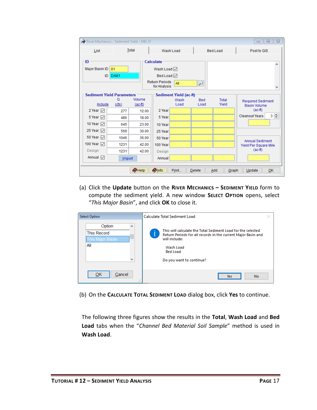| River Mechanics - Sediment Yield - MB: 01   |                                                                                                       |                     |           |                                                                 |                    |                 | $\Sigma$<br>$\Box$<br>$\Box$                    |  |  |  |
|---------------------------------------------|-------------------------------------------------------------------------------------------------------|---------------------|-----------|-----------------------------------------------------------------|--------------------|-----------------|-------------------------------------------------|--|--|--|
| <b>Total</b><br>List                        |                                                                                                       |                     |           | Wash Load                                                       |                    | <b>Bed Load</b> | Post to GIS                                     |  |  |  |
| ١D<br>Major Basin ID<br>01                  |                                                                                                       |                     | Calculate | Wash Load <sup>√</sup>                                          |                    |                 | A                                               |  |  |  |
|                                             | DAM1<br>ID                                                                                            |                     |           | <b>Bed Load</b><br><b>Return Periods</b><br>All<br>for Analysis | ₽                  |                 | v                                               |  |  |  |
| <b>Sediment Yield Parameters</b><br>Include | $\Omega$<br>(cfs)                                                                                     | Volume<br>$(ac-fl)$ |           | Sediment Yield (ac-ft)<br>Wash<br>Load                          | <b>Bed</b><br>Load | Total<br>Yield  | <b>Required Sediment</b><br><b>Basin Volume</b> |  |  |  |
| 2 Year $\nabla$                             | 277                                                                                                   | 12.00               | 2 Year    |                                                                 |                    |                 | $(ac-fit)$                                      |  |  |  |
| 5 Year $\nabla$                             | 486                                                                                                   | 18.00               | 5 Year    |                                                                 |                    |                 | $3 \div$<br><b>Cleanout Years</b>               |  |  |  |
| 10 Year √                                   | 645                                                                                                   | 23.00               | 10 Year   |                                                                 |                    |                 |                                                 |  |  |  |
| 25 Year 冈                                   | 569                                                                                                   | 30.00               | 25 Year   |                                                                 |                    |                 |                                                 |  |  |  |
| 50 Year $\nabla$                            | 1046                                                                                                  | 36.00               | 50 Year   |                                                                 |                    |                 | Annual Sediment                                 |  |  |  |
| 100 Year ~                                  | 1231                                                                                                  | 42.00               | 100 Year  |                                                                 |                    |                 | Yield Per Square Mile                           |  |  |  |
| Design                                      | 1231                                                                                                  | 42.00               | Design    |                                                                 |                    |                 | $(ac-fit)$                                      |  |  |  |
| Annual $\nabla$                             | Import                                                                                                |                     | Annual    |                                                                 |                    |                 |                                                 |  |  |  |
|                                             | $\bullet$ Help<br><b>O</b> Info<br>Print<br><b>Delete</b><br><b>OK</b><br>Add<br>Graph<br>Update<br>₩ |                     |           |                                                                 |                    |                 |                                                 |  |  |  |

(a) Click the **Update** button on the **RIVER MECHANICS – SEDIMENT YIELD** form to compute the sediment yield. A new window **SELECT OPTION** opens, select "*This Major Basin*", and click **OK** to close it.

| <b>Select Option</b>                                                         | Calculate Total Sediment Load                                                                                                                                                                              |  |  |  |  |
|------------------------------------------------------------------------------|------------------------------------------------------------------------------------------------------------------------------------------------------------------------------------------------------------|--|--|--|--|
| $\mathbf{A}$<br>Option<br><b>This Record</b><br>This Major Basin<br>All<br>v | This will calculate the Total Sediment Load for the selected<br>Return Periods for all records in the current Major Basin and<br>will include:<br>Wash Load<br><b>Bed Load</b><br>Do you want to continue? |  |  |  |  |
| ОК<br>Cancel<br>122                                                          | <b>No</b><br><b>Yes</b>                                                                                                                                                                                    |  |  |  |  |

(b) On the **CALCULATE TOTAL SEDIMENT LOAD** dialog box, click **Yes** to continue.

The following three figures show the results in the **Total**, **Wash Load** and **Bed Load** tabs when the "*Channel Bed Material Soil Sample*" method is used in **Wash Load**.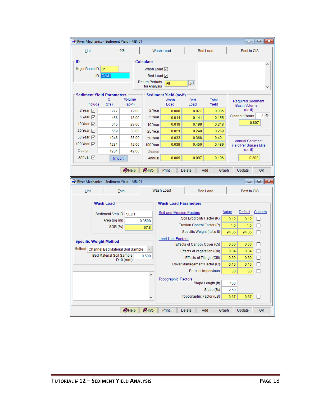| $\Box$ 0<br>⊩x<br>River Mechanics - Sediment Yield - MB: 01 |                                                                          |                      |                  |                                              |                              |                    |       |                                          |                     |  |  |
|-------------------------------------------------------------|--------------------------------------------------------------------------|----------------------|------------------|----------------------------------------------|------------------------------|--------------------|-------|------------------------------------------|---------------------|--|--|
| Total<br>List                                               |                                                                          |                      |                  | Wash Load                                    | <b>Bed Load</b>              | Post to GIS        |       |                                          |                     |  |  |
| ID<br>Calculate                                             |                                                                          |                      |                  |                                              |                              |                    |       |                                          |                     |  |  |
|                                                             |                                                                          |                      |                  |                                              |                              |                    |       |                                          |                     |  |  |
| Major Basin ID                                              | 01                                                                       |                      | Wash Load $\vee$ |                                              |                              |                    |       |                                          |                     |  |  |
|                                                             | DAM <sub>1</sub><br>ID                                                   |                      | Bed Load $\vee$  |                                              |                              |                    |       |                                          |                     |  |  |
|                                                             | <b>Return Periods</b><br>AII<br>$\overline{\phantom{0}}$<br>for Analysis |                      |                  |                                              |                              |                    |       |                                          |                     |  |  |
| <b>Sediment Yield Parameters</b><br>Sediment Yield (ac-ft)  |                                                                          |                      |                  |                                              |                              |                    |       |                                          |                     |  |  |
|                                                             | Q<br>Include<br>(cfs)                                                    | Volume<br>$(ac-fit)$ |                  | Wash<br>Load                                 | <b>Bed</b><br>Load           | Total<br>Yield     |       | <b>Required Sediment</b>                 |                     |  |  |
| 2 Year $\nabla$                                             | 277                                                                      | 12.00                | 2 Year           | 0.008                                        | 0.077                        | 0.085              |       | <b>Basin Volume</b><br>$(ac-fit)$        |                     |  |  |
| 5 Year $\nabla$                                             | 486                                                                      | 18.00                | 5 Year           | 0.014                                        | 0.141                        | 0.155              |       | <b>Cleanout Years</b>                    | $3 \nightharpoonup$ |  |  |
| 10 Year √                                                   | 645                                                                      | 23.00                | 10 Year          | 0.019                                        | 0.199                        | 0.218              |       |                                          | 0.807               |  |  |
| 25 Year V                                                   | 569                                                                      | 30.00                | 25 Year          | 0.021                                        | 0.248                        | 0.269              |       |                                          |                     |  |  |
| 50 Year ☑                                                   | 1046                                                                     | 36.00                | 50 Year          | 0.033                                        | 0.368                        | 0.401              |       |                                          |                     |  |  |
| 100 Year [7]                                                | 1231                                                                     | 42.00                | 100 Year         | 0.039                                        | 0.450                        | 0.489              |       | Annual Sediment<br>Yield Per Square Mile |                     |  |  |
| Design                                                      | 1231                                                                     | 42.00                | Design           |                                              |                              |                    |       | (ac-ft)                                  |                     |  |  |
| Annual √                                                    | Import                                                                   |                      | Annual           | 0.009                                        | 0.097                        | 0.106              |       |                                          | 0.302               |  |  |
|                                                             |                                                                          | $\bigcirc$ Help      | <b>O</b> Info    | Print                                        | Delete                       | Graph<br>Add       |       | Update                                   | QK                  |  |  |
|                                                             | River Mechanics - Sediment Yield - MB: 01                                |                      |                  |                                              |                              |                    |       | <b>.</b> .                               | $\Box$ X            |  |  |
| List                                                        |                                                                          | Total                |                  | Wash Load                                    |                              | <b>Bed Load</b>    |       | Post to GIS                              |                     |  |  |
|                                                             |                                                                          |                      |                  |                                              |                              |                    |       |                                          |                     |  |  |
|                                                             | <b>Wash Load</b>                                                         |                      |                  | <b>Wash Load Parameters</b>                  |                              |                    |       |                                          |                     |  |  |
|                                                             |                                                                          |                      |                  | <b>Soil and Erosion Factors</b>              |                              |                    | Value | Default                                  | Custom              |  |  |
|                                                             | Sediment Area ID SED1<br>Area (sq mi)                                    |                      |                  |                                              | Soil Erodibility Factor (K)  |                    | 0.12  | 0.12                                     | $\mathbf{I}$        |  |  |
|                                                             | SDR (%)                                                                  |                      | 0.3508           | Erosion Control Factor (P)<br>1.0<br>1.0     |                              |                    |       |                                          | П                   |  |  |
|                                                             |                                                                          |                      | 67.8             | Specific Weight (Ib/cu ft)<br>94.35<br>94.35 |                              |                    |       |                                          |                     |  |  |
|                                                             |                                                                          |                      |                  | <b>Land Use Factors</b>                      |                              |                    |       |                                          |                     |  |  |
|                                                             | <b>Specific Weight Method</b>                                            |                      |                  |                                              | Effects of Canopy Cover (Ci) |                    | 0.66  | 0.66                                     |                     |  |  |
|                                                             | Method Channel Bed Material Soil Sample                                  |                      |                  |                                              | Effects of Vegetation (Cii)  |                    | 0.84  | 0.84                                     | П                   |  |  |
|                                                             | <b>Bed Material Soil Sample</b>                                          | $D10$ (mm)           | 0.500            |                                              | Effects of Tillage (Ciii)    |                    | 0.30  | 0.30                                     | П                   |  |  |
|                                                             |                                                                          |                      |                  |                                              | Cover Management Factor (C)  |                    | 0.16  | 0.16                                     | П                   |  |  |
|                                                             |                                                                          |                      | ٨                |                                              |                              | Percent Impervious | 60    | 60                                       |                     |  |  |
|                                                             |                                                                          |                      |                  | <b>Topographic Factors</b>                   |                              | Slope Length (ft)  | 400   |                                          |                     |  |  |
| Slope (%)<br>2.50                                           |                                                                          |                      |                  |                                              |                              |                    |       |                                          |                     |  |  |
| Topographic Factor (LS)<br>0.37<br>0.37<br>□<br>٧           |                                                                          |                      |                  |                                              |                              |                    |       |                                          |                     |  |  |
|                                                             |                                                                          |                      |                  |                                              |                              |                    |       |                                          |                     |  |  |
|                                                             |                                                                          |                      |                  |                                              |                              |                    |       |                                          |                     |  |  |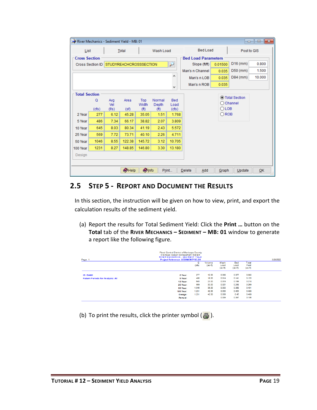| $\begin{array}{c c c c c c} \hline \multicolumn{3}{c }{\mathbf{C}} & \multicolumn{3}{c }{\mathbf{S}} & \multicolumn{3}{c }{\mathbf{X}} \end{array}$<br>River Mechanics - Sediment Yield - MB: 01 |                      |                           |                               |                             |                             |               |                            |                |                                       |        |  |
|--------------------------------------------------------------------------------------------------------------------------------------------------------------------------------------------------|----------------------|---------------------------|-------------------------------|-----------------------------|-----------------------------|---------------|----------------------------|----------------|---------------------------------------|--------|--|
| List                                                                                                                                                                                             |                      | Wash Load<br><b>Total</b> |                               |                             | <b>Bed Load</b>             |               | Post to GIS                |                |                                       |        |  |
| <b>Cross Section</b>                                                                                                                                                                             |                      |                           |                               |                             |                             |               | <b>Bed Load Parameters</b> |                |                                       |        |  |
|                                                                                                                                                                                                  | Cross Section ID     |                           | <b>STUDYREACHCROSSSECTION</b> |                             |                             | ₽             | Slope (ft/ft)              | 0.01500        | $D16$ (mm)                            | 0.800  |  |
|                                                                                                                                                                                                  |                      |                           |                               |                             |                             |               | Man's n Channel            | 0.035          | D50 (mm)                              | 1.500  |  |
|                                                                                                                                                                                                  |                      |                           |                               |                             |                             | A             | Man's n LOB                | 0.035          | D84 (mm)                              | 10.000 |  |
|                                                                                                                                                                                                  |                      |                           |                               |                             |                             | ٧             | Man's n ROB                | 0.035          |                                       |        |  |
|                                                                                                                                                                                                  | <b>Total Section</b> |                           |                               |                             |                             |               |                            |                |                                       |        |  |
|                                                                                                                                                                                                  | Q                    | Avg                       | Area                          | Top                         | Normal                      | Bed           |                            |                | ◉ Total Section<br>$\bigcirc$ Channel |        |  |
|                                                                                                                                                                                                  | (cfs)                | Vel<br>(f/s)              | (sf)                          | Width<br>(f <sup>th</sup> ) | Depth<br>(f <sup>th</sup> ) | Load<br>(cfs) |                            | $O$ LOB        |                                       |        |  |
| 2 Year                                                                                                                                                                                           | 277                  | 6.12                      | 45.28                         | 35.05                       | 1.51                        | 1.768         |                            | $\bigcirc$ ROB |                                       |        |  |
| 5 Year                                                                                                                                                                                           | 486                  | 7.34                      | 66.17                         | 38.82                       | 2.07                        | 3.809         |                            |                |                                       |        |  |
| 10 Year                                                                                                                                                                                          | 645                  | 8.03                      | 80.34                         | 41.19                       | 2.43                        | 5.572         |                            |                |                                       |        |  |
| 25 Year                                                                                                                                                                                          | 569                  | 7.72                      | 73.71                         | 40.10                       | 2.26                        | 4.711         |                            |                |                                       |        |  |
| 50 Year                                                                                                                                                                                          | 1046                 | 8.55                      | 122.38                        | 145.72                      | 3.12                        | 10.705        |                            |                |                                       |        |  |
| 100 Year                                                                                                                                                                                         | 1231                 | 8.27                      | 148.85                        | 146.80                      | 3.30                        | 13.180        |                            |                |                                       |        |  |
| Design                                                                                                                                                                                           |                      |                           |                               |                             |                             |               |                            |                |                                       |        |  |
|                                                                                                                                                                                                  |                      |                           |                               |                             |                             |               |                            |                |                                       |        |  |
|                                                                                                                                                                                                  |                      |                           | <b>OHelp</b>                  | <b>Olnfo</b>                |                             | Print         | <b>Delete</b><br>Add       | Graph          | Update                                | QK     |  |

### <span id="page-20-0"></span>**2.5 STEP 5 - REPORT AND DOCUMENT THE RESULTS**

In this section, the instruction will be given on how to view, print, and export the calculation results of the sediment yield.

(a) Report the results for Total Sediment Yield: Click the **Print …** button on the **Total** tab of the **RIVER MECHANICS – SEDIMENT – MB: 01** window to generate a report like the following figure.

| Flood Control District of Maricopa County<br>Drainage Design Management System<br>RIVER MECHANICS - SEDIMENT YIELD<br>Project Reference: SEDIMENTYIELD1<br>Page 1 |                  |                  |                      |                           |                           |                              |  |  |
|-------------------------------------------------------------------------------------------------------------------------------------------------------------------|------------------|------------------|----------------------|---------------------------|---------------------------|------------------------------|--|--|
|                                                                                                                                                                   |                  | $\circ$<br>(cfs) | Volume<br>$(ac-fit)$ | Wash<br>Load<br>$(ac-ft)$ | Bed<br>Load<br>$(ac-fit)$ | Total<br>Yield<br>$(ac-fit)$ |  |  |
| ID: DAM1                                                                                                                                                          | 2 Year:          | 277              | 12.00                | 0.008                     | 0.077                     | 0.085                        |  |  |
| <b>Return Periods for Analysis: All</b>                                                                                                                           | 5 Year:          | 486              | 18.00                | 0.014                     | 0.141                     | 0.155                        |  |  |
|                                                                                                                                                                   | 10 Year:         | 645              | 23.00                | 0.019                     | 0.199                     | 0.218                        |  |  |
|                                                                                                                                                                   | 25 Year:         | 569              | 30.00                | 0.021                     | 0.248                     | 0.269                        |  |  |
|                                                                                                                                                                   | 50 Year:         | 1,046            | 36.00                | 0.033                     | 0.368                     | 0.401                        |  |  |
|                                                                                                                                                                   | <b>100 Year:</b> | 1.231            | 42.00                | 0.039                     | 0.450                     | 0.489                        |  |  |
|                                                                                                                                                                   | Design:          | 1,231            | 42.00                | 0.039                     | 0.45                      | 0.489                        |  |  |
|                                                                                                                                                                   | Annual:          |                  |                      | 0.009                     | 0.097                     | 0.106                        |  |  |

(b) To print the results, click the printer symbol  $\left(\frac{B}{2}\right)$ .